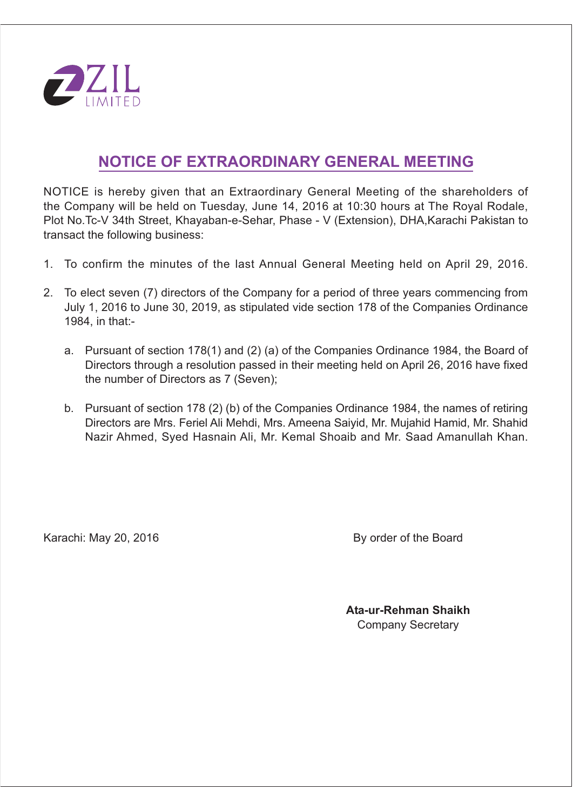

# NOTICE OF EXTRAORDINARY GENERAL MEETING

NOTICE is hereby given that an Extraordinary General Meeting of the shareholders of the Company will be held on Tuesday, June 14, 2016 at 10:30 hours at The Royal Rodale. Plot No. Tc-V 34th Street, Khayaban-e-Sehar, Phase - V (Extension), DHA, Karachi Pakistan to transact the following business:

- 1. To confirm the minutes of the last Annual General Meeting held on April 29, 2016.
- 2. To elect seven (7) directors of the Company for a period of three vears commencing from July 1, 2016 to June 30, 2019, as stipulated vide section 178 of the Companies Ordinance 1984. in that:
	- a. Pursuant of section 178(1) and (2) (a) of the Companies Ordinance 1984, the Board of Directors through a resolution passed in their meeting held on April 26, 2016 have fixed the number of Directors as 7 (Seven);
	- b. Pursuant of section 178 (2) (b) of the Companies Ordinance 1984, the names of retiring Directors are Mrs. Feriel Ali Mehdi, Mrs. Ameena Saiyid, Mr. Mujahid Hamid, Mr. Shahid Nazir Ahmed. Sved Hasnain Ali, Mr. Kemal Shoaib and Mr. Saad Amanullah Khan.

Karachi: May 20, 2016

By order of the Board

Ata-ur-Rehman Shaikh **Company Secretary**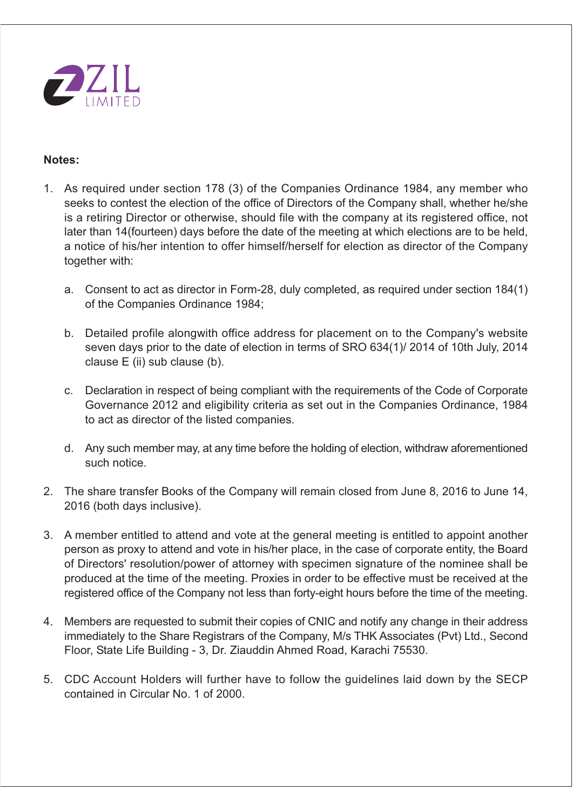

## Notes:

- 1. As required under section 178 (3) of the Companies Ordinance 1984, any member who seeks to contest the election of the office of Directors of the Company shall, whether he/she is a retiring Director or otherwise, should file with the company at its registered office, not later than 14 (fourteen) days before the date of the meeting at which elections are to be held. a notice of his/her intention to offer himself/herself for election as director of the Company together with:
	- a. Consent to act as director in Form-28, duly completed, as required under section 184(1) of the Companies Ordinance 1984;
	- b. Detailed profile alongwith office address for placement on to the Company's website seven days prior to the date of election in terms of SRO 634(1)/2014 of 10th July, 2014 clause E (ii) sub clause (b).
	- c. Declaration in respect of being compliant with the requirements of the Code of Corporate Governance 2012 and eligibility criteria as set out in the Companies Ordinance, 1984 to act as director of the listed companies.
	- d. Any such member may, at any time before the holding of election, withdraw aforementioned such notice.
- 2. The share transfer Books of the Company will remain closed from June 8, 2016 to June 14, 2016 (both days inclusive).
- 3. A member entitled to attend and vote at the general meeting is entitled to appoint another person as proxy to attend and vote in his/her place, in the case of corporate entity, the Board of Directors' resolution/power of attorney with specimen signature of the nominee shall be produced at the time of the meeting. Proxies in order to be effective must be received at the registered office of the Company not less than forty-eight hours before the time of the meeting.
- 4. Members are requested to submit their copies of CNIC and notify any change in their address immediately to the Share Registrars of the Company, M/s THK Associates (Pvt) Ltd., Second Floor, State Life Building - 3, Dr. Ziauddin Ahmed Road, Karachi 75530.
- 5. CDC Account Holders will further have to follow the quidelines laid down by the SECP contained in Circular No. 1 of 2000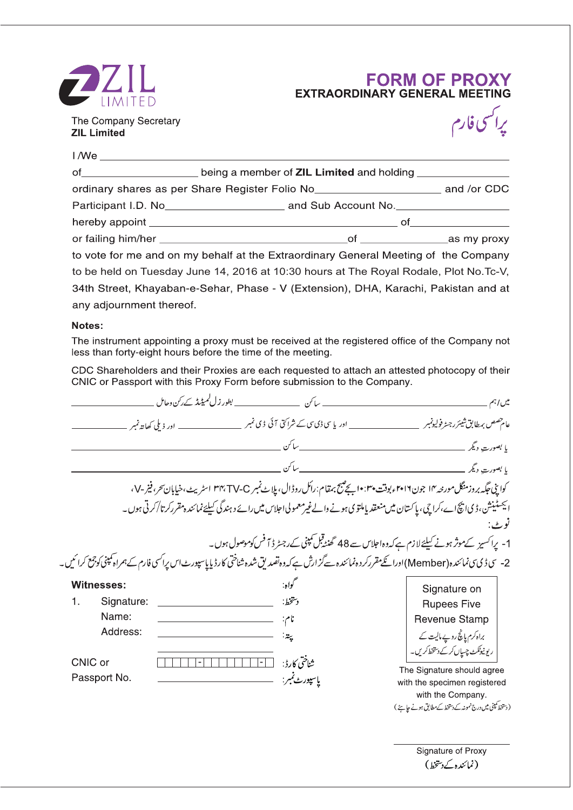

# **FORM OF PROXY**<br>EXTRAORDINARY GENERAL MEETING

The Company Secretary **ZIL Limited** 



| of ________________________ being a member of ZIL Limited and holding ________________       |  |
|----------------------------------------------------------------------------------------------|--|
| ordinary shares as per Share Register Folio No__________________________________ and /or CDC |  |
|                                                                                              |  |
|                                                                                              |  |
|                                                                                              |  |
| to vote for me and on my behalf at the Extraordinary General Meeting of the Company          |  |
| to be held on Tuesday June 14, 2016 at 10:30 hours at The Royal Rodale, Plot No.Tc-V,        |  |
| 34th Street, Khayaban-e-Sehar, Phase - V (Extension), DHA, Karachi, Pakistan and at          |  |
| any adjournment thereof.                                                                     |  |

#### Notes:

The instrument appointing a proxy must be received at the registered office of the Company not less than forty-eight hours before the time of the meeting.

CDC Shareholders and their Proxies are each requested to attach an attested photocopy of their CNIC or Passport with this Proxy Form before submission to the Company.

|                         |                          |                                                                                                                                                        | میں اہم                                           |
|-------------------------|--------------------------|--------------------------------------------------------------------------------------------------------------------------------------------------------|---------------------------------------------------|
|                         | __ اور ذیلی کھاتہ نمبر _ |                                                                                                                                                        |                                                   |
|                         |                          |                                                                                                                                                        | يا بصورت ديگر                                     |
|                         |                          |                                                                                                                                                        |                                                   |
|                         |                          | کواپنی جگه بروزمنگل مورحه ۱۲ جون۲۰۱۲ ویوقت ۱۰:۴۰ بج <sup>صی</sup> ح بهقام:رائل روڈال، پل <sub>ا</sub> ٹ نمبر ۳۴،TV-C اسٹریٹ،خیابان <i>تحر</i> ، فیز-۷، |                                                   |
|                         |                          | ا <sup>يجەمٹ</sup> ىنىش، ڈى انچ اے،كراچى، پاكستان میں منعقد ياملتوى ہونے والےغیر معمولى احلاس میں رائے د ہندگى كىليئےنمائندہ مقرركر تا/كرتى ہوں۔       |                                                   |
|                         |                          |                                                                                                                                                        |                                                   |
|                         |                          | 1- پراکسیز کےموثر ہونے کیلئےلازم ہےکہ دہ احلاس سے 48 گھنٹہ قبل کمپنی کےرجسٹر ڈ آفس کوموصول ہوں۔                                                        |                                                   |
|                         |                          | 2-  سى ڈى سىنمائىدە(Member)اورائلىمقرركردەنمائىدە سےگزارش ہے كەدەنضدىق شدەشناختى كارڈ پاياسپورٹاس پراسى فارم كے ہمراہ كمپنى كوجىع كرائىيں .            |                                                   |
|                         |                          |                                                                                                                                                        |                                                   |
|                         |                          |                                                                                                                                                        |                                                   |
| Signature:              |                          | دتتخط:                                                                                                                                                 | Signature on<br><b>Rupees Five</b>                |
| Name:                   |                          |                                                                                                                                                        | Revenue Stamp                                     |
| Address:                |                          |                                                                                                                                                        | براہ کرم یانچ روپے مالیت کے                       |
| <b>Witnesses:</b><br>1. |                          |                                                                                                                                                        | ریونیوٹکٹ چسپاں کرکے دستخط کریں۔                  |
|                         |                          | شاختي كارڈ:<br>- 1                                                                                                                                     | The Signature should agree                        |
| CNIC or<br>Passport No. |                          | پاسپورٹ نمبر:                                                                                                                                          | with the specimen registered<br>with the Company. |

Signature of Proxy (نمائندہ کے دستخط)